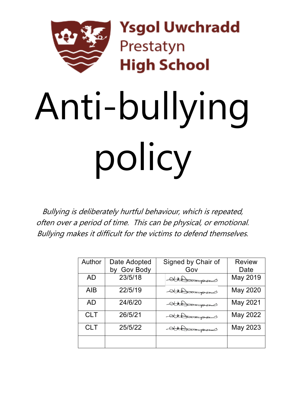

**Ysgol Uwchradd** Prestatyn **High School** 

# Anti-bullying policy

Bullying is deliberately hurtful behaviour, which is repeated, often over a period of time. This can be physical, or emotional. Bullying makes it difficult for the victims to defend themselves.

| Author     | Date Adopted<br><b>Gov Body</b><br>bv | Signed by Chair of<br>Gov | <b>Review</b><br>Date |
|------------|---------------------------------------|---------------------------|-----------------------|
| <b>AD</b>  | 23/5/18                               | Attorome                  | May 2019              |
| <b>AIB</b> | 22/5/19                               | Athonores                 | May 2020              |
| <b>AD</b>  | 24/6/20                               | Attorough                 | May 2021              |
| <b>CLT</b> | 26/5/21                               | Attorough                 | May 2022              |
| <b>CLT</b> | 25/5/22                               | $\rightarrow$             | May 2023              |
|            |                                       |                           |                       |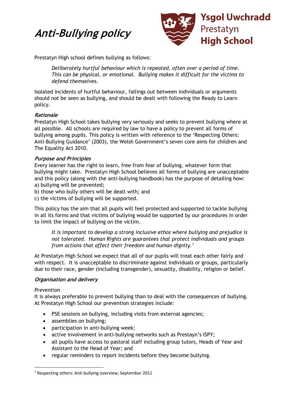# **Anti-Bullying policy**



Prestatyn High school defines bullying as follows:

*Deliberately hurtful behaviour which is repeated, often over a period of time. This can be physical, or emotional. Bullying makes it difficult for the victims to defend themselves.* 

Isolated incidents of hurtful behaviour, fallings out between individuals or arguments should not be seen as bullying, and should be dealt with following the Ready to Learn policy.

# **Rationale**

Prestatyn High School takes bullying very seriously and seeks to prevent bullying where at all possible. All schools are required by law to have a policy to prevent all forms of bullying among pupils. This policy is written with reference to the 'Respecting Others: Anti-Bullying Guidance' (2003), the Welsh Government's seven core aims for children and The Equality Act 2010.

# **Purpose and Principles**

Every learner has the right to learn, free from fear of bullying, whatever form that bullying might take. Prestatyn High School believes all forms of bullying are unacceptable and this policy (along with the anti-bullying handbook) has the purpose of detailing how: a) bullying will be prevented;

- b) those who bully others will be dealt with; and
- c) the victims of bullying will be supported.

This policy has the aim that all pupils will feel protected and supported to tackle bullying in all its forms and that victims of bullying would be supported by our procedures in order to limit the impact of bullying on the victim.

*It is important to develop a strong inclusive ethos where bullying and prejudice is not tolerated. Human Rights are guarantees that protect individuals and groups from actions that affect their freedom and human dignity.1*

At Prestatyn High School we expect that all of our pupils will treat each other fairly and with respect. It is unacceptable to discriminate against individuals or groups, particularly due to their race, gender (including transgender), sexuality, disability, religion or belief.

# **Organisation and delivery**

# *Prevention*

It is always preferable to prevent bullying than to deal with the consequences of bullying. At Prestatyn High School our prevention strategies include:

- PSE sessions on bullying, including visits from external agencies;
- assemblies on bullying;
- participation in anti-bullying week;
- active involvement in anti-bullying networks such as Prestayn's ISPY;
- all pupils have access to pastoral staff including group tutors, Heads of Year and Assistant to the Head of Year; and
- regular reminders to report incidents before they become bullying.

<sup>1</sup> Respecting others: Anti bullying overview; September 2011